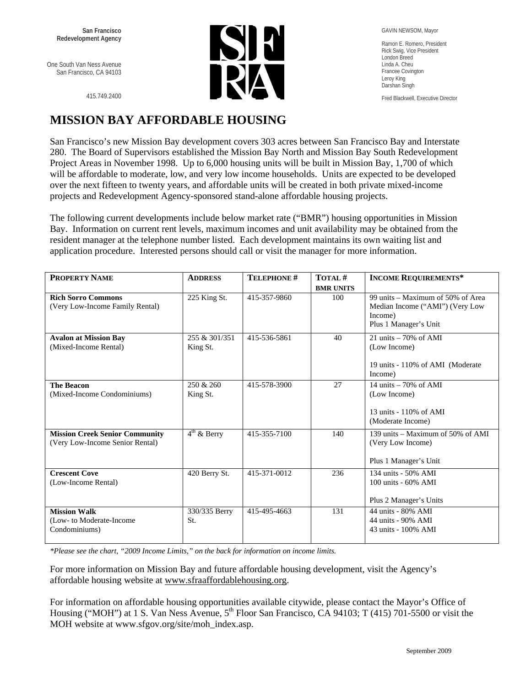One South Van Ness Avenue San Francisco, CA 94103

415.749.2400



GAVIN NEWSOM, Mayor

Ramon E. Romero, President Rick Swig, Vice President London Breed Linda A. Cheu Francee Covington Leroy King Darshan Singh

Fred Blackwell, Executive Director

## **MISSION BAY AFFORDABLE HOUSING**

San Francisco's new Mission Bay development covers 303 acres between San Francisco Bay and Interstate 280. The Board of Supervisors established the Mission Bay North and Mission Bay South Redevelopment Project Areas in November 1998. Up to 6,000 housing units will be built in Mission Bay, 1,700 of which will be affordable to moderate, low, and very low income households. Units are expected to be developed over the next fifteen to twenty years, and affordable units will be created in both private mixed-income projects and Redevelopment Agency-sponsored stand-alone affordable housing projects.

The following current developments include below market rate ("BMR") housing opportunities in Mission Bay. Information on current rent levels, maximum incomes and unit availability may be obtained from the resident manager at the telephone number listed. Each development maintains its own waiting list and application procedure. Interested persons should call or visit the manager for more information.

| <b>PROPERTY NAME</b>                                                     | <b>ADDRESS</b>            | <b>TELEPHONE#</b> | TOTAL#           | <b>INCOME REQUIREMENTS*</b>                                                                              |
|--------------------------------------------------------------------------|---------------------------|-------------------|------------------|----------------------------------------------------------------------------------------------------------|
|                                                                          |                           |                   | <b>BMR UNITS</b> |                                                                                                          |
| <b>Rich Sorro Commons</b><br>(Very Low-Income Family Rental)             | 225 King St.              | 415-357-9860      | 100              | 99 units – Maximum of 50% of Area<br>Median Income ("AMI") (Very Low<br>Income)<br>Plus 1 Manager's Unit |
| <b>Avalon at Mission Bay</b><br>(Mixed-Income Rental)                    | 255 & 301/351<br>King St. | 415-536-5861      | 40               | 21 units $-70\%$ of AMI<br>(Low Income)<br>19 units - 110% of AMI (Moderate)<br>Income)                  |
| <b>The Beacon</b><br>(Mixed-Income Condominiums)                         | 250 & 260<br>King St.     | 415-578-3900      | 27               | 14 units $-70\%$ of AMI<br>(Low Income)<br>13 units - 110% of AMI<br>(Moderate Income)                   |
| <b>Mission Creek Senior Community</b><br>(Very Low-Income Senior Rental) | $4th$ & Berry             | 415-355-7100      | 140              | 139 units – Maximum of 50% of AMI<br>(Very Low Income)<br>Plus 1 Manager's Unit                          |
| <b>Crescent Cove</b><br>(Low-Income Rental)                              | 420 Berry St.             | 415-371-0012      | 236              | 134 units - 50% AMI<br>$100$ units - $60\%$ AMI<br>Plus 2 Manager's Units                                |
| <b>Mission Walk</b><br>(Low- to Moderate-Income)<br>Condominiums)        | 330/335 Berry<br>St.      | 415-495-4663      | 131              | 44 units - 80% AMI<br>44 units - 90% AMI<br>43 units - 100% AMI                                          |

*\*Please see the chart, "2009 Income Limits," on the back for information on income limits.* 

For more information on Mission Bay and future affordable housing development, visit the Agency's affordable housing website at www.sfraaffordablehousing.org.

For information on affordable housing opportunities available citywide, please contact the Mayor's Office of Housing ("MOH") at 1 S. Van Ness Avenue,  $5<sup>th</sup>$  Floor San Francisco, CA 94103; T (415) 701-5500 or visit the MOH website at www.sfgov.org/site/moh\_index.asp.